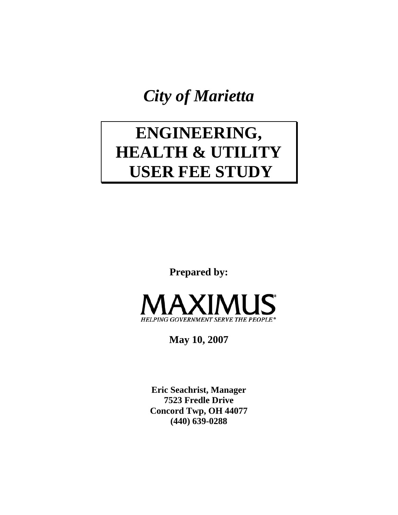*City of Marietta* 

# **ENGINEERING, HEALTH & UTILITY USER FEE STUDY**

**Prepared by:** 



**May 10, 2007** 

**Eric Seachrist, Manager 7523 Fredle Drive Concord Twp, OH 44077 (440) 639-0288**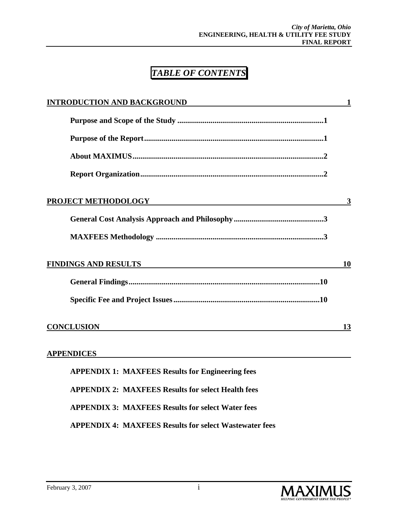## *TABLE OF CONTENTS*

| <u>INTRODUCTION AND BACKGROUND</u>                                                      | 1            |
|-----------------------------------------------------------------------------------------|--------------|
|                                                                                         |              |
|                                                                                         |              |
|                                                                                         |              |
|                                                                                         |              |
| PROJECT METHODOLOGY<br><u> 1980 - Jan James James Barnett, fransk politik (d. 1980)</u> | $\mathbf{3}$ |
|                                                                                         |              |
|                                                                                         |              |
| <b>FINDINGS AND RESULTS</b>                                                             | 10           |
|                                                                                         |              |
|                                                                                         |              |
| <b>CONCLUSION</b>                                                                       | 13           |
| <b>APPENDICES</b>                                                                       |              |
| <b>APPENDIX 1: MAXFEES Results for Engineering fees</b>                                 |              |
| <b>APPENDIX 2: MAXFEES Results for select Health fees</b>                               |              |
| <b>APPENDIX 3: MAXFEES Results for select Water fees</b>                                |              |
| <b>APPENDIX 4: MAXFEES Results for select Wastewater fees</b>                           |              |

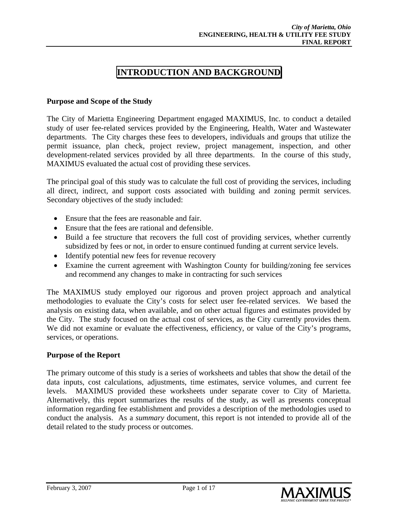### **INTRODUCTION AND BACKGROUND**

#### **Purpose and Scope of the Study**

The City of Marietta Engineering Department engaged MAXIMUS, Inc. to conduct a detailed study of user fee-related services provided by the Engineering, Health, Water and Wastewater departments. The City charges these fees to developers, individuals and groups that utilize the permit issuance, plan check, project review, project management, inspection, and other development-related services provided by all three departments. In the course of this study, MAXIMUS evaluated the actual cost of providing these services.

The principal goal of this study was to calculate the full cost of providing the services, including all direct, indirect, and support costs associated with building and zoning permit services. Secondary objectives of the study included:

- Ensure that the fees are reasonable and fair.
- Ensure that the fees are rational and defensible.
- Build a fee structure that recovers the full cost of providing services, whether currently subsidized by fees or not, in order to ensure continued funding at current service levels.
- Identify potential new fees for revenue recovery
- Examine the current agreement with Washington County for building/zoning fee services and recommend any changes to make in contracting for such services

The MAXIMUS study employed our rigorous and proven project approach and analytical methodologies to evaluate the City's costs for select user fee-related services. We based the analysis on existing data, when available, and on other actual figures and estimates provided by the City. The study focused on the actual cost of services, as the City currently provides them. We did not examine or evaluate the effectiveness, efficiency, or value of the City's programs, services, or operations.

#### **Purpose of the Report**

The primary outcome of this study is a series of worksheets and tables that show the detail of the data inputs, cost calculations, adjustments, time estimates, service volumes, and current fee levels. MAXIMUS provided these worksheets under separate cover to City of Marietta. Alternatively, this report summarizes the results of the study, as well as presents conceptual information regarding fee establishment and provides a description of the methodologies used to conduct the analysis. As a *summary* document, this report is not intended to provide all of the detail related to the study process or outcomes.

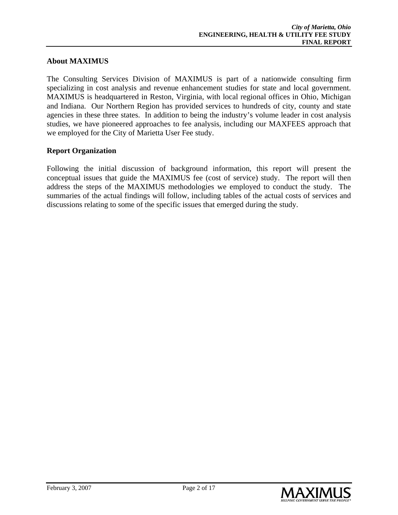#### **About MAXIMUS**

The Consulting Services Division of MAXIMUS is part of a nationwide consulting firm specializing in cost analysis and revenue enhancement studies for state and local government. MAXIMUS is headquartered in Reston, Virginia, with local regional offices in Ohio, Michigan and Indiana. Our Northern Region has provided services to hundreds of city, county and state agencies in these three states. In addition to being the industry's volume leader in cost analysis studies, we have pioneered approaches to fee analysis, including our MAXFEES approach that we employed for the City of Marietta User Fee study.

#### **Report Organization**

Following the initial discussion of background information, this report will present the conceptual issues that guide the MAXIMUS fee (cost of service) study. The report will then address the steps of the MAXIMUS methodologies we employed to conduct the study. The summaries of the actual findings will follow, including tables of the actual costs of services and discussions relating to some of the specific issues that emerged during the study.

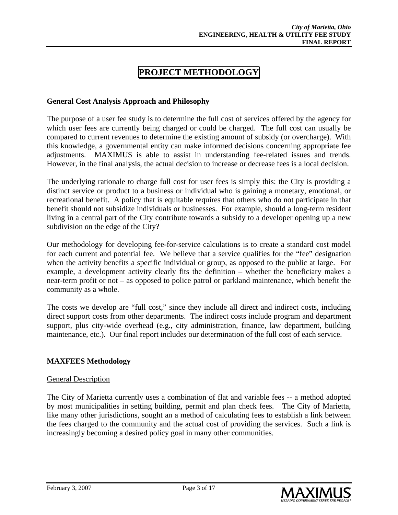### **PROJECT METHODOLOGY**

#### **General Cost Analysis Approach and Philosophy**

The purpose of a user fee study is to determine the full cost of services offered by the agency for which user fees are currently being charged or could be charged. The full cost can usually be compared to current revenues to determine the existing amount of subsidy (or overcharge). With this knowledge, a governmental entity can make informed decisions concerning appropriate fee adjustments. MAXIMUS is able to assist in understanding fee-related issues and trends. However, in the final analysis, the actual decision to increase or decrease fees is a local decision.

The underlying rationale to charge full cost for user fees is simply this: the City is providing a distinct service or product to a business or individual who is gaining a monetary, emotional, or recreational benefit. A policy that is equitable requires that others who do not participate in that benefit should not subsidize individuals or businesses. For example, should a long-term resident living in a central part of the City contribute towards a subsidy to a developer opening up a new subdivision on the edge of the City?

Our methodology for developing fee-for-service calculations is to create a standard cost model for each current and potential fee. We believe that a service qualifies for the "fee" designation when the activity benefits a specific individual or group, as opposed to the public at large. For example, a development activity clearly fits the definition – whether the beneficiary makes a near-term profit or not – as opposed to police patrol or parkland maintenance, which benefit the community as a whole.

The costs we develop are "full cost," since they include all direct and indirect costs, including direct support costs from other departments. The indirect costs include program and department support, plus city-wide overhead (e.g., city administration, finance, law department, building maintenance, etc.). Our final report includes our determination of the full cost of each service.

#### **MAXFEES Methodology**

#### General Description

The City of Marietta currently uses a combination of flat and variable fees -- a method adopted by most municipalities in setting building, permit and plan check fees. The City of Marietta, like many other jurisdictions, sought an a method of calculating fees to establish a link between the fees charged to the community and the actual cost of providing the services. Such a link is increasingly becoming a desired policy goal in many other communities.

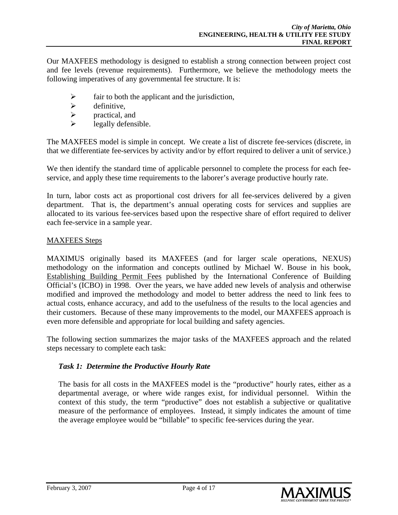Our MAXFEES methodology is designed to establish a strong connection between project cost and fee levels (revenue requirements). Furthermore, we believe the methodology meets the following imperatives of any governmental fee structure. It is:

- $\triangleright$  fair to both the applicant and the jurisdiction,
- $\triangleright$  definitive,
- $\triangleright$  practical, and
- legally defensible.

The MAXFEES model is simple in concept. We create a list of discrete fee-services (discrete, in that we differentiate fee-services by activity and/or by effort required to deliver a unit of service.)

We then identify the standard time of applicable personnel to complete the process for each feeservice, and apply these time requirements to the laborer's average productive hourly rate.

In turn, labor costs act as proportional cost drivers for all fee-services delivered by a given department. That is, the department's annual operating costs for services and supplies are allocated to its various fee-services based upon the respective share of effort required to deliver each fee-service in a sample year.

#### MAXFEES Steps

MAXIMUS originally based its MAXFEES (and for larger scale operations, NEXUS) methodology on the information and concepts outlined by Michael W. Bouse in his book, Establishing Building Permit Fees published by the International Conference of Building Official's (ICBO) in 1998. Over the years, we have added new levels of analysis and otherwise modified and improved the methodology and model to better address the need to link fees to actual costs, enhance accuracy, and add to the usefulness of the results to the local agencies and their customers. Because of these many improvements to the model, our MAXFEES approach is even more defensible and appropriate for local building and safety agencies.

The following section summarizes the major tasks of the MAXFEES approach and the related steps necessary to complete each task:

#### *Task 1: Determine the Productive Hourly Rate*

The basis for all costs in the MAXFEES model is the "productive" hourly rates, either as a departmental average, or where wide ranges exist, for individual personnel. Within the context of this study, the term "productive" does not establish a subjective or qualitative measure of the performance of employees. Instead, it simply indicates the amount of time the average employee would be "billable" to specific fee-services during the year.



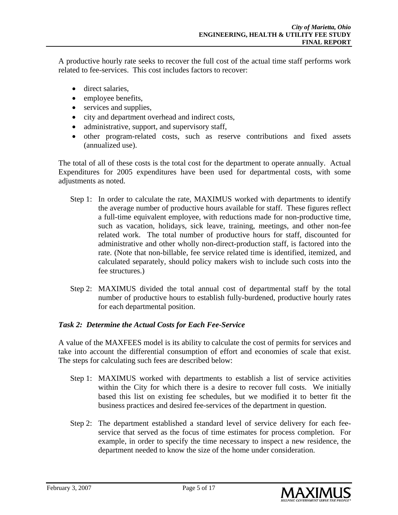A productive hourly rate seeks to recover the full cost of the actual time staff performs work related to fee-services. This cost includes factors to recover:

- direct salaries.
- employee benefits,
- services and supplies,
- city and department overhead and indirect costs,
- administrative, support, and supervisory staff,
- other program-related costs, such as reserve contributions and fixed assets (annualized use).

The total of all of these costs is the total cost for the department to operate annually. Actual Expenditures for 2005 expenditures have been used for departmental costs, with some adjustments as noted.

- Step 1: In order to calculate the rate, MAXIMUS worked with departments to identify the average number of productive hours available for staff. These figures reflect a full-time equivalent employee, with reductions made for non-productive time, such as vacation, holidays, sick leave, training, meetings, and other non-fee related work. The total number of productive hours for staff, discounted for administrative and other wholly non-direct-production staff, is factored into the rate. (Note that non-billable, fee service related time is identified, itemized, and calculated separately, should policy makers wish to include such costs into the fee structures.)
- Step 2: MAXIMUS divided the total annual cost of departmental staff by the total number of productive hours to establish fully-burdened, productive hourly rates for each departmental position.

#### *Task 2: Determine the Actual Costs for Each Fee-Service*

A value of the MAXFEES model is its ability to calculate the cost of permits for services and take into account the differential consumption of effort and economies of scale that exist. The steps for calculating such fees are described below:

- Step 1: MAXIMUS worked with departments to establish a list of service activities within the City for which there is a desire to recover full costs. We initially based this list on existing fee schedules, but we modified it to better fit the business practices and desired fee-services of the department in question.
- Step 2: The department established a standard level of service delivery for each feeservice that served as the focus of time estimates for process completion. For example, in order to specify the time necessary to inspect a new residence, the department needed to know the size of the home under consideration.

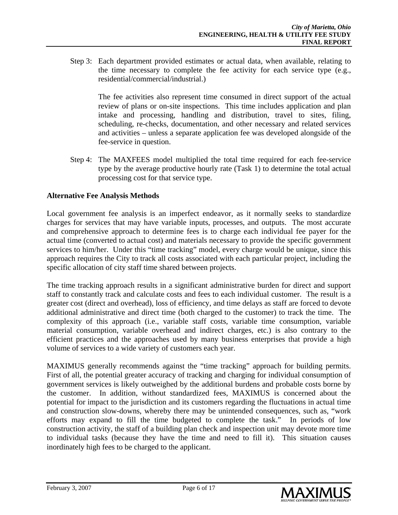Step 3: Each department provided estimates or actual data, when available, relating to the time necessary to complete the fee activity for each service type (e.g., residential/commercial/industrial.)

The fee activities also represent time consumed in direct support of the actual review of plans or on-site inspections. This time includes application and plan intake and processing, handling and distribution, travel to sites, filing, scheduling, re-checks, documentation, and other necessary and related services and activities – unless a separate application fee was developed alongside of the fee-service in question.

Step 4: The MAXFEES model multiplied the total time required for each fee-service type by the average productive hourly rate (Task 1) to determine the total actual processing cost for that service type.

#### **Alternative Fee Analysis Methods**

Local government fee analysis is an imperfect endeavor, as it normally seeks to standardize charges for services that may have variable inputs, processes, and outputs. The most accurate and comprehensive approach to determine fees is to charge each individual fee payer for the actual time (converted to actual cost) and materials necessary to provide the specific government services to him/her. Under this "time tracking" model, every charge would be unique, since this approach requires the City to track all costs associated with each particular project, including the specific allocation of city staff time shared between projects.

The time tracking approach results in a significant administrative burden for direct and support staff to constantly track and calculate costs and fees to each individual customer. The result is a greater cost (direct and overhead), loss of efficiency, and time delays as staff are forced to devote additional administrative and direct time (both charged to the customer) to track the time. The complexity of this approach (i.e., variable staff costs, variable time consumption, variable material consumption, variable overhead and indirect charges, etc.) is also contrary to the efficient practices and the approaches used by many business enterprises that provide a high volume of services to a wide variety of customers each year.

MAXIMUS generally recommends against the "time tracking" approach for building permits. First of all, the potential greater accuracy of tracking and charging for individual consumption of government services is likely outweighed by the additional burdens and probable costs borne by the customer. In addition, without standardized fees, MAXIMUS is concerned about the potential for impact to the jurisdiction and its customers regarding the fluctuations in actual time and construction slow-downs, whereby there may be unintended consequences, such as, "work efforts may expand to fill the time budgeted to complete the task." In periods of low construction activity, the staff of a building plan check and inspection unit may devote more time to individual tasks (because they have the time and need to fill it). This situation causes inordinately high fees to be charged to the applicant.

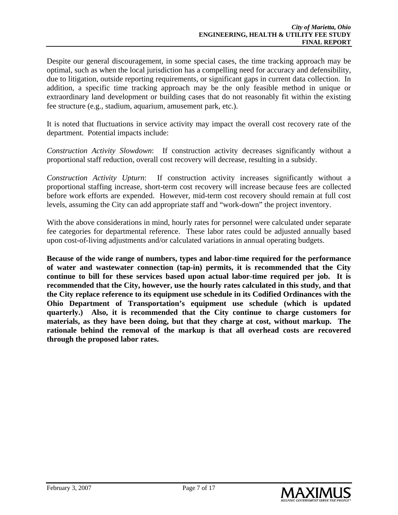Despite our general discouragement, in some special cases, the time tracking approach may be optimal, such as when the local jurisdiction has a compelling need for accuracy and defensibility, due to litigation, outside reporting requirements, or significant gaps in current data collection. In addition, a specific time tracking approach may be the only feasible method in unique or extraordinary land development or building cases that do not reasonably fit within the existing fee structure (e.g., stadium, aquarium, amusement park, etc.).

It is noted that fluctuations in service activity may impact the overall cost recovery rate of the department. Potential impacts include:

*Construction Activity Slowdown*: If construction activity decreases significantly without a proportional staff reduction, overall cost recovery will decrease, resulting in a subsidy.

*Construction Activity Upturn*: If construction activity increases significantly without a proportional staffing increase, short-term cost recovery will increase because fees are collected before work efforts are expended. However, mid-term cost recovery should remain at full cost levels, assuming the City can add appropriate staff and "work-down" the project inventory.

With the above considerations in mind, hourly rates for personnel were calculated under separate fee categories for departmental reference. These labor rates could be adjusted annually based upon cost-of-living adjustments and/or calculated variations in annual operating budgets.

**Because of the wide range of numbers, types and labor-time required for the performance of water and wastewater connection (tap-in) permits, it is recommended that the City continue to bill for these services based upon actual labor-time required per job. It is recommended that the City, however, use the hourly rates calculated in this study, and that the City replace reference to its equipment use schedule in its Codified Ordinances with the Ohio Department of Transportation's equipment use schedule (which is updated quarterly.) Also, it is recommended that the City continue to charge customers for materials, as they have been doing, but that they charge at cost, without markup. The rationale behind the removal of the markup is that all overhead costs are recovered through the proposed labor rates.** 

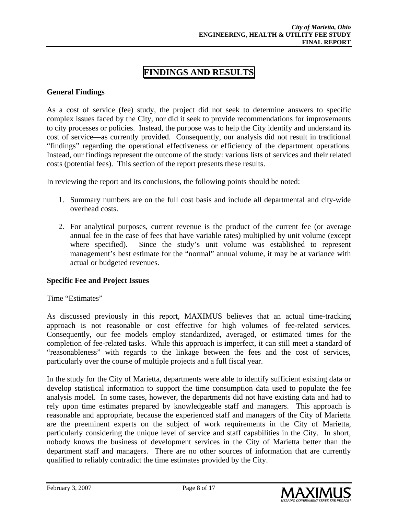### **FINDINGS AND RESULTS**

#### **General Findings**

As a cost of service (fee) study, the project did not seek to determine answers to specific complex issues faced by the City, nor did it seek to provide recommendations for improvements to city processes or policies. Instead, the purpose was to help the City identify and understand its cost of service—as currently provided. Consequently, our analysis did not result in traditional "findings" regarding the operational effectiveness or efficiency of the department operations. Instead, our findings represent the outcome of the study: various lists of services and their related costs (potential fees). This section of the report presents these results.

In reviewing the report and its conclusions, the following points should be noted:

- 1. Summary numbers are on the full cost basis and include all departmental and city-wide overhead costs.
- 2. For analytical purposes, current revenue is the product of the current fee (or average annual fee in the case of fees that have variable rates) multiplied by unit volume (except where specified). Since the study's unit volume was established to represent management's best estimate for the "normal" annual volume, it may be at variance with actual or budgeted revenues.

#### **Specific Fee and Project Issues**

#### Time "Estimates"

As discussed previously in this report, MAXIMUS believes that an actual time-tracking approach is not reasonable or cost effective for high volumes of fee-related services. Consequently, our fee models employ standardized, averaged, or estimated times for the completion of fee-related tasks. While this approach is imperfect, it can still meet a standard of "reasonableness" with regards to the linkage between the fees and the cost of services, particularly over the course of multiple projects and a full fiscal year.

In the study for the City of Marietta, departments were able to identify sufficient existing data or develop statistical information to support the time consumption data used to populate the fee analysis model. In some cases, however, the departments did not have existing data and had to rely upon time estimates prepared by knowledgeable staff and managers. This approach is reasonable and appropriate, because the experienced staff and managers of the City of Marietta are the preeminent experts on the subject of work requirements in the City of Marietta, particularly considering the unique level of service and staff capabilities in the City. In short, nobody knows the business of development services in the City of Marietta better than the department staff and managers. There are no other sources of information that are currently qualified to reliably contradict the time estimates provided by the City.

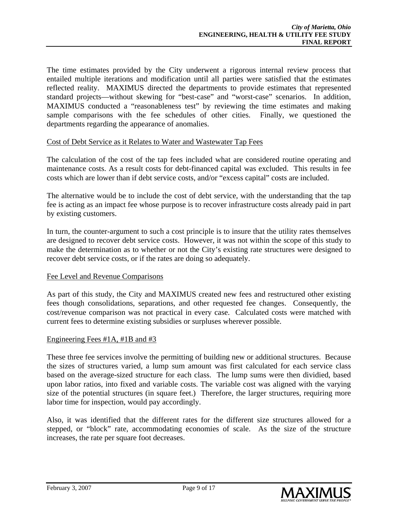The time estimates provided by the City underwent a rigorous internal review process that entailed multiple iterations and modification until all parties were satisfied that the estimates reflected reality. MAXIMUS directed the departments to provide estimates that represented standard projects—without skewing for "best-case" and "worst-case" scenarios. In addition, MAXIMUS conducted a "reasonableness test" by reviewing the time estimates and making sample comparisons with the fee schedules of other cities. Finally, we questioned the departments regarding the appearance of anomalies.

#### Cost of Debt Service as it Relates to Water and Wastewater Tap Fees

The calculation of the cost of the tap fees included what are considered routine operating and maintenance costs. As a result costs for debt-financed capital was excluded. This results in fee costs which are lower than if debt service costs, and/or "excess capital" costs are included.

The alternative would be to include the cost of debt service, with the understanding that the tap fee is acting as an impact fee whose purpose is to recover infrastructure costs already paid in part by existing customers.

In turn, the counter-argument to such a cost principle is to insure that the utility rates themselves are designed to recover debt service costs. However, it was not within the scope of this study to make the determination as to whether or not the City's existing rate structures were designed to recover debt service costs, or if the rates are doing so adequately.

#### Fee Level and Revenue Comparisons

As part of this study, the City and MAXIMUS created new fees and restructured other existing fees though consolidations, separations, and other requested fee changes. Consequently, the cost/revenue comparison was not practical in every case. Calculated costs were matched with current fees to determine existing subsidies or surpluses wherever possible.

#### Engineering Fees #1A, #1B and #3

These three fee services involve the permitting of building new or additional structures. Because the sizes of structures varied, a lump sum amount was first calculated for each service class based on the average-sized structure for each class. The lump sums were then dividied, based upon labor ratios, into fixed and variable costs. The variable cost was aligned with the varying size of the potential structures (in square feet.) Therefore, the larger structures, requiring more labor time for inspection, would pay accordingly.

Also, it was identified that the different rates for the different size structures allowed for a stepped, or "block" rate, accommodating economies of scale. As the size of the structure increases, the rate per square foot decreases.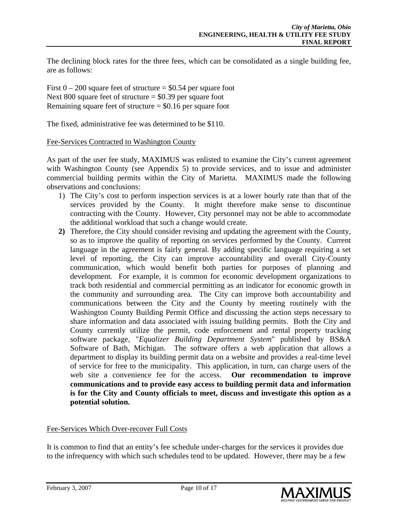The declining block rates for the three fees, which can be consolidated as a single building fee, are as follows:

First  $0 - 200$  square feet of structure = \$0.54 per square foot Next 800 square feet of structure  $= $0.39$  per square foot Remaining square feet of structure  $= $0.16$  per square foot

The fixed, administrative fee was determined to be \$110.

#### Fee-Services Contracted to Washington County

As part of the user fee study, MAXIMUS was enlisted to examine the City's current agreement with Washington County (see Appendix 5) to provide services, and to issue and administer commercial building permits within the City of Marietta. MAXIMUS made the following observations and conclusions:

- 1) The City's cost to perform inspection services is at a lower hourly rate than that of the services provided by the County. It might therefore make sense to discontinue contracting with the County. However, City personnel may not be able to accommodate the additional workload that such a change would create.
- **2)** Therefore, the City should consider revising and updating the agreement with the County, so as to improve the quality of reporting on services performed by the County. Current language in the agreement is fairly general. By adding specific language requiring a set level of reporting, the City can improve accountability and overall City-County communication, which would benefit both parties for purposes of planning and development. For example, it is common for economic development organizations to track both residential and commercial permitting as an indicator for economic growth in the community and surrounding area. The City can improve both accountability and communications between the City and the County by meeting routinely with the Washington County Building Permit Office and discussing the action steps necessary to share information and data associated with issuing building permits. Both the City and County currently utilize the permit, code enforcement and rental property tracking software package, "*Equalizer Building Department System*" published by BS&A Software of Bath, Michigan. The software offers a web application that allows a department to display its building permit data on a website and provides a real-time level of service for free to the municipality. This application, in turn, can charge users of the web site a convenience fee for the access. **Our recommendation to improve communications and to provide easy access to building permit data and information is for the City and County officials to meet, discuss and investigate this option as a potential solution.**

#### Fee-Services Which Over-recover Full Costs

It is common to find that an entity's fee schedule under-charges for the services it provides due to the infrequency with which such schedules tend to be updated. However, there may be a few

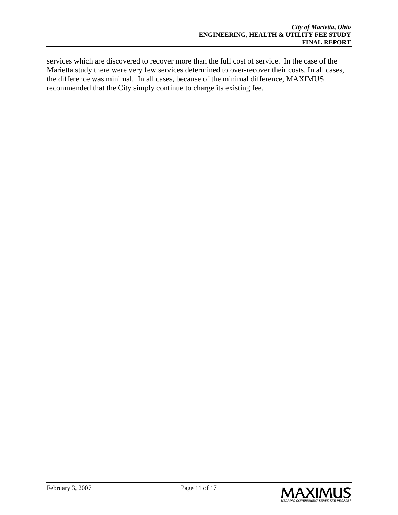services which are discovered to recover more than the full cost of service. In the case of the Marietta study there were very few services determined to over-recover their costs. In all cases, the difference was minimal. In all cases, because of the minimal difference, MAXIMUS recommended that the City simply continue to charge its existing fee.

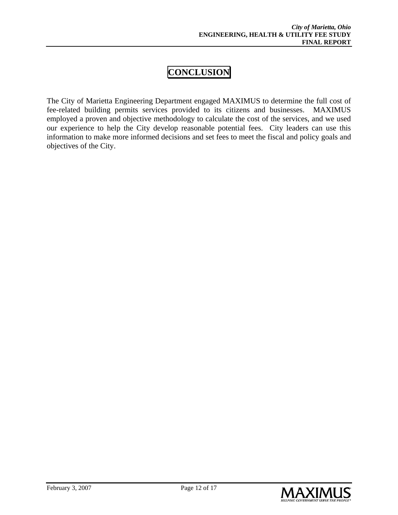## **CONCLUSION**

The City of Marietta Engineering Department engaged MAXIMUS to determine the full cost of fee-related building permits services provided to its citizens and businesses. MAXIMUS employed a proven and objective methodology to calculate the cost of the services, and we used our experience to help the City develop reasonable potential fees. City leaders can use this information to make more informed decisions and set fees to meet the fiscal and policy goals and objectives of the City.

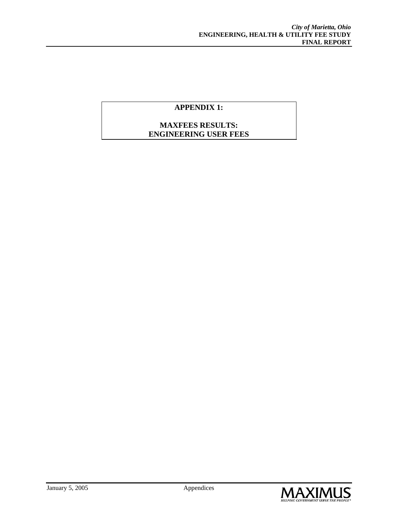#### **APPENDIX 1:**

#### **MAXFEES RESULTS: ENGINEERING USER FEES**

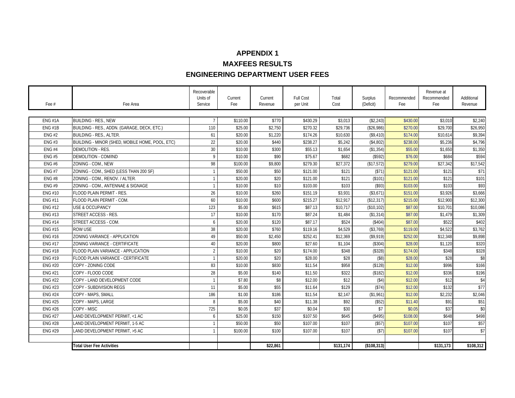#### **APPENDIX 1 MAXFEES RESULTS ENGINEERING DEPARTMENT USER FEES**

| Fee #          | Fee Area                                        | Recoverable<br>Units of<br>Service | Current<br>Fee | Current<br>Revenue | <b>Full Cost</b><br>per Unit | Total<br>Cost | Surplus<br>(Deficit) | Recommended<br>Fee | Revenue at<br>Recommended<br>Fee | Additional<br>Revenue |
|----------------|-------------------------------------------------|------------------------------------|----------------|--------------------|------------------------------|---------------|----------------------|--------------------|----------------------------------|-----------------------|
|                |                                                 |                                    |                |                    |                              |               |                      |                    |                                  |                       |
| ENG#1A         | <b>BUILDING - RES., NEW</b>                     |                                    | \$110.00       | \$770              | \$430.29                     | \$3,013       | (\$2,243)            | \$430.00           | \$3,010                          | \$2,240               |
| ENG#1B         | BUILDING - RES., ADDN. (GARAGE, DECK, ETC.)     | 110                                | \$25.00        | \$2,750            | \$270.32                     | \$29,736      | (\$26,986)           | \$270.00           | \$29,700                         | \$26,950              |
| <b>ENG#2</b>   | BUILDING - RES., ALTER.                         | 61                                 | \$20.00        | \$1,220            | \$174.26                     | \$10,630      | (\$9,410"            | \$174.00           | \$10,614                         | \$9,394               |
| ENG#3          | BUILDING - MINOR (SHED, MOBILE HOME, POOL, ETC) | 22                                 | \$20.00        | \$440              | \$238.27                     | \$5.242       | (\$4,802"            | \$238.00           | \$5.236                          | \$4,796               |
| ENG#4          | DEMOLITION - RES.                               | 30                                 | \$10.00        | \$300              | \$55.13                      | \$1,654       | (\$1,354)            | \$55.00            | \$1,650                          | \$1,350               |
| <b>ENG#5</b>   | <b>DEMOLITION - COM/IND</b>                     | $\mathsf{q}$                       | \$10.00        | \$90               | \$75.67                      | \$682         | (\$592)              | \$76.00            | \$684                            | \$594                 |
| <b>ENG#6</b>   | ZONING - COM., NEW                              | 98                                 | \$100.00       | \$9,800            | \$279.30                     | \$27,372      | (\$17,572)           | \$279.00           | \$27,342                         | \$17,542              |
| <b>ENG#7</b>   | ZONING - COM., SHED (LESS THAN 200 SF)          | $\mathbf{1}$                       | \$50.00        | \$50               | \$121.00                     | \$121         | (\$71                | \$121.00           | \$121                            | \$71                  |
| ENG#8          | ZONING - COM., RENOV. / ALTER.                  | $\mathbf{1}$                       | \$20.00        | \$20               | \$121.00                     | \$121         | (\$101               | \$121.00           | \$121                            | \$101                 |
| <b>ENG#9</b>   | ZONING - COM., ANTENNAE & SIGNAGE               | $\mathbf{1}$                       | \$10.00        | \$10               | \$103.00                     | \$103         | $($ \$93             | \$103.00           | \$103                            | \$93                  |
| <b>ENG #10</b> | FLOOD PLAIN PERMIT - RES.                       | 26                                 | \$10.00        | \$260              | \$151.19                     | \$3,931       | (\$3,671             | \$151.00           | \$3,926                          | \$3,666               |
| <b>ENG #11</b> | FLOOD PLAIN PERMIT - COM.                       | 60                                 | \$10.00        | \$600              | \$215.27                     | \$12,917      | (\$12,317            | \$215.00           | \$12,900                         | \$12,300              |
| <b>ENG #12</b> | <b>USE &amp; OCCUPANCY</b>                      | 123                                | \$5.00         | \$615              | \$87.13                      | \$10,717      | (\$10, 102           | \$87.00            | \$10,701                         | \$10,086              |
| ENG #13        | STREET ACCESS - RES.                            | 17                                 | \$10.00        | \$170              | \$87.24                      | \$1,484       | (\$1,314)            | \$87.00            | \$1,479                          | \$1,309               |
| <b>ENG #14</b> | STREET ACCESS - COM.                            | 6                                  | \$20.00        | \$120              | \$87.17                      | \$524         | (\$404)              | \$87.00            | \$522                            | \$402                 |
| <b>ENG #15</b> | <b>ROW USE</b>                                  | 38                                 | \$20.00        | \$760              | \$119.16                     | \$4,529       | (\$3,769)            | \$119.00           | \$4,522                          | \$3,762               |
| <b>ENG #16</b> | ZONING VARIANCE - APPLICATION                   | 49                                 | \$50.00        | \$2,450            | \$252.41                     | \$12,369      | (\$9,919)            | \$252.00           | \$12,348                         | \$9,898               |
| <b>ENG #17</b> | ZONING VARIANCE - CERTIFICATE                   | 40                                 | \$20.00        | \$800              | \$27.60                      | \$1,104       | (\$304)              | \$28.00            | \$1,120                          | \$320                 |
| <b>ENG #18</b> | FLOOD PLAIN VARIANCE - APPLICATION              | $\overline{2}$                     | \$10.00        | \$20               | \$174.00                     | \$348         | (\$328)              | \$174.00           | \$348                            | \$328                 |
| ENG #19        | FLOOD PLAIN VARIANCE - CERTIFICATE              | $\mathbf{1}$                       | \$20.00        | \$20               | \$28.00                      | \$28          | $($ \$8)             | \$28.00            | \$28                             | \$8                   |
| <b>ENG #20</b> | COPY - ZONING CODE                              | 83                                 | \$10.00        | \$830              | \$11.54                      | \$958         | (\$128)              | \$12.00            | \$996                            | \$166                 |
| ENG #21        | COPY - FLOOD CODE                               | 28                                 | \$5.00         | \$140              | \$11.50                      | \$322         | ( \$182)             | \$12.00            | \$336                            | \$196                 |
| <b>ENG #22</b> | COPY - LAND DEVELOPMENT CODE                    | $\mathbf{1}$                       | \$7.80         | \$8                | \$12.00                      | \$12          | $($ \$4              | \$12.00            | \$12                             | \$4                   |
| <b>ENG #23</b> | COPY - SUBDIVISION REGS                         | 11                                 | \$5.00         | \$55               | \$11.64                      | \$129         | (\$74)               | \$12.00            | \$132                            | \$77                  |
| <b>ENG #24</b> | COPY - MAPS, SMALL                              | 186                                | \$1.00         | \$186              | \$11.54                      | \$2,147       | (\$1,961]            | \$12.00            | \$2,232                          | \$2,046               |
| <b>ENG #25</b> | COPY - MAPS, LARGE                              | 8                                  | \$5.00         | \$40               | \$11.38                      | \$92          | (\$52)               | \$11.40            | \$91                             | \$51                  |
| <b>ENG #26</b> | COPY - MISC                                     | 725                                | \$0.05         | \$37               | \$0.04                       | \$30          | \$7                  | \$0.05             | \$37                             | \$0                   |
| <b>ENG #27</b> | LAND DEVELOPMENT PERMIT, <1 AC                  | 6                                  | \$25.00        | \$150              | \$107.50                     | \$645         | (\$495               | \$108.00           | \$648                            | \$498                 |
| <b>ENG #28</b> | LAND DEVELOPMENT PERMIT, 1-5 AC                 |                                    | \$50.00        | \$50               | \$107.00                     | \$107         | (\$57                | \$107.00           | \$107                            | \$57                  |
| <b>ENG #29</b> | LAND DEVELOPMENT PERMIT, >5 AC                  |                                    | \$100.00       | \$100              | \$107.00                     | \$107         | (57)                 | \$107.00           | \$107                            | \$7                   |
|                |                                                 |                                    |                |                    |                              |               |                      |                    |                                  |                       |
|                | <b>Total User Fee Activities</b>                |                                    |                | \$22,861           |                              | \$131,174     | (\$108,313)          |                    | \$131,173                        | \$108,312             |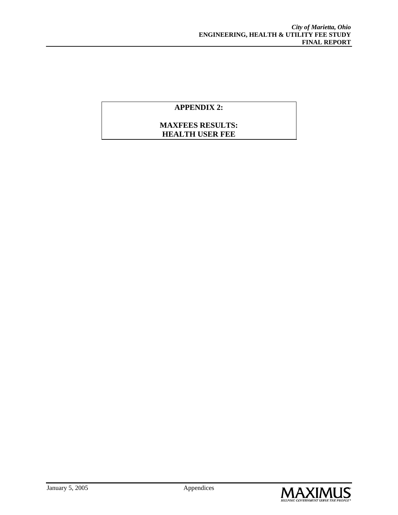### **APPENDIX 2:**

#### **MAXFEES RESULTS: HEALTH USER FEE**

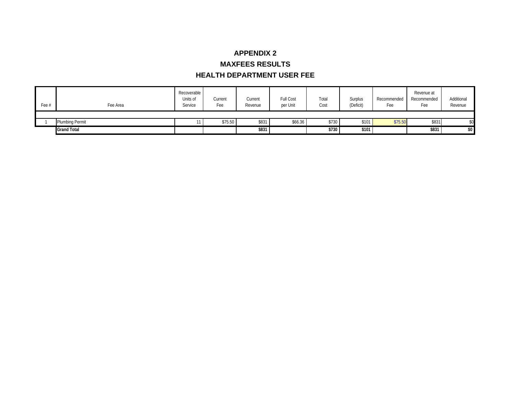### **APPENDIX 2MAXFEES RESULTS HEALTH DEPARTMENT USER FEE**

| Fee # | Fee Area               | Recoverable<br>Units of<br>Service | Current<br>Fee | Current<br>Revenue | Full Cost<br>per Unit | Total<br>Cost | Surplus<br>(Deficit) | Recommended<br>Fee | Revenue at<br>Recommended<br>Fee | Additional<br>Revenue |
|-------|------------------------|------------------------------------|----------------|--------------------|-----------------------|---------------|----------------------|--------------------|----------------------------------|-----------------------|
|       |                        |                                    |                |                    |                       |               |                      |                    |                                  |                       |
|       | <b>Plumbing Permit</b> |                                    | \$75.50        | \$831              | \$66.36               | \$730         | \$10                 | \$75.50            | \$831                            | \$0                   |
|       | <b>Grand Total</b>     |                                    |                | \$831              |                       | \$730         | \$101                |                    | \$831                            | \$0                   |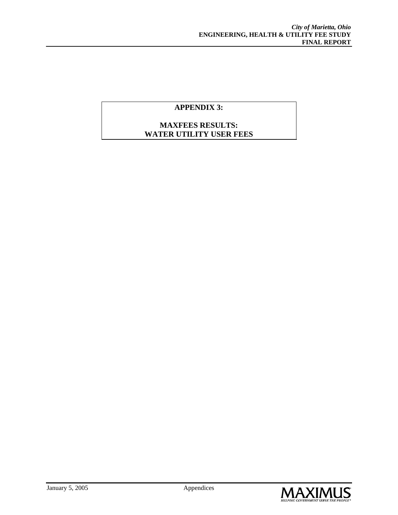### **APPENDIX 3:**

#### **MAXFEES RESULTS: WATER UTILITY USER FEES**

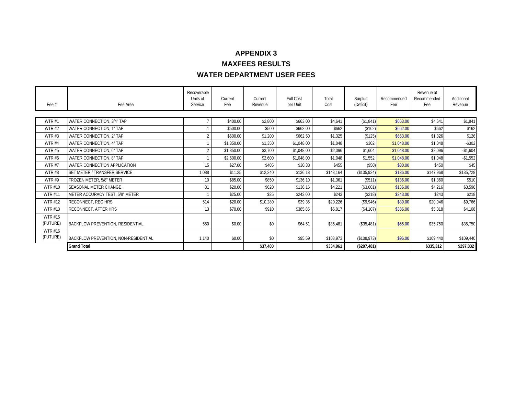#### **APPENDIX 3MAXFEES RESULTSWATER DEPARTMENT USER FEES**

#### Fee # Fee Area Recoverable Units of ServiceCurrent FeeCurrent RevenueFull Cost per Unit Total CostSurplus (Deficit) Recommended FeeRevenue at Recommended FeeAdditional RevenueWTR #1 WATER CONNECTION, 3/4" TAP 7 \$400.00 \$2,800 \$663.00 \$4,641 (\$1,841) \$663.00 \$4,641 \$1,841 WTR #2 WATER CONNECTION, 1" TAP 1 3500.00 \$500.00 \$662.00 \$662.00 \$662.00 \$500,00 \$662.00 \$162 WTR #3 WATER CONNECTION, 2" TAP 2 \$600.00 \$1,200 \$662.50 \$1,325 (\$125) \$663.00 \$1,326 \$126 WTR #4 WATER CONNECTION. 4" TAP 1 \$1,350.00 \$1,350.00 \$1,350 \$1,048.00 \$1,048.00 \$1,048.00 \$1,048.00 \$1,048 -\$302 WTR #5 WATER CONNECTION, 6" TAP 2 \$1,850.00 \$1,850.00 \$1,048.00 \$1,048.00 \$2,096 \$1,604 \$1,048.00 \$2,096 -\$1,604 WTR #6 WATER CONNECTION, 8" TAP 1 \$2,600,00 \$2,600,00 \$1,048,00 \$1,048,00 \$1,052 \$1,048,00 \$1,048 -\$1,552 WTR #7 WATER CONNECTION APPLICATION 1900 15 \$20.00 \$27.00 \$405 \$405 \$30.33 \$455 (\$50) \$30.00 \$450 \$450 \$450 \$45 WTR #8 SET METER / TRANSFER SERVICE | 1,088 \$11.25 \$12,240 \$136.18 \$148,164 (\$135,924) \$136.00 \$147,968 \$135,728 WTR #9 FROZEN METER, 5/8" METER 6510 \$2510 \$10 \$10 \$85.00 \$850 \$136.10 \$1,361 (\$511) \$136.00 \$1,360 \$510 \$1,360 WTR #10 SEASONAL METER CHANGE | 31 31 \$20.00 \$620 \$136.16 \$4,221 (\$3,601) \$136.00 \$4,216 \$3,596 WTR #11 METER ACCURACY TEST, 5/8" METER 1 325.00 \$25 \$243.00 \$243.00 \$243 (\$218) \$243.00 \$243 \$218 WTR #12 RECONNECT, REG HRS \$20.00 | \$10,280 | \$29.35 | \$20,226 | \$9,946) \$39.00 \$20,046 \$9,766 \$9,766 WTR #13 RECONNECT, AFTER HRS | 13 | \$70.00 | \$910 | \$35.85 | \$5,017 | \$386.00 | \$5,018 | \$4,108 | WTR #15 (FUTURE) BACKFLOW PREVENTION. RESIDENTIAL 550 \$55,00 \$0.00 \$0.00 \$0.5481 \$35,481 \$35,481 \$65.00 \$35.750 \$35,750 WTR #16 (FUTURE) BACKFLOW PREVENTION, NON-RESIDENTIAL 1,140 \$0.00 \$0.00 \$00 \$109,973 (\$108,973) \$96.00 \$109,440 \$109,440 **Grand Total\$37,480 \$334,961 (\$297,481) \$335,312 \$297,832**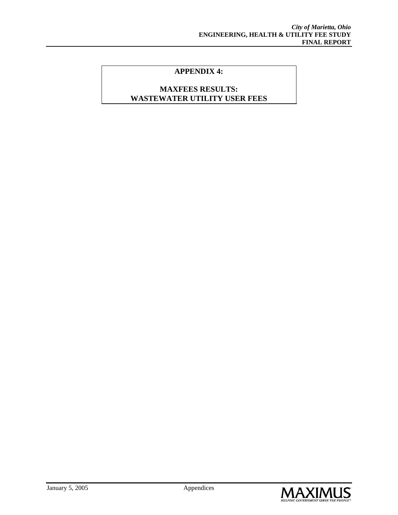#### **APPENDIX 4:**

### **MAXFEES RESULTS: WASTEWATER UTILITY USER FEES**

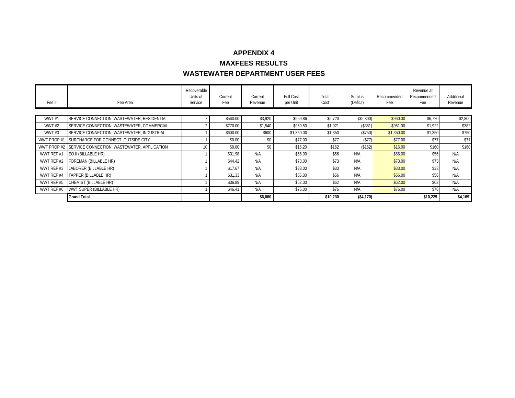#### **APPENDIX 4MAXFEES RESULTSWASTEWATER DEPARTMENT USER FEES**

#### Fee # Fee Area Recoverable Units of ServiceCurrent FeeCurrent RevenueFull Cost per Unit Total CostSurplus (Deficit) Recommended FeeRevenue at Recommended FeeAdditional RevenueWWT #1 SERVICE CONNECTION, WASTEWATER, RESIDENTIAL | 7 \$560.00 \$2,800 \$3,920 \$6,720 \$6,720 \$6,720 \$6,720 \$6,720 WWT #2 SERVICE CONNECTION, WASTEWATER, COMMERCIAL | 2 \$770.00 \$1,540 \$960.50 \$1,921 (\$381) \$961.00 \$1,922 \$382 WWT #3 SERVICE CONNECTION. WASTEWATER. INDUSTRIAL | 1 \$600.00 \$600 \$1,350.00 \$1,350.00 \$1,350 \$1,350.00 \$1,350 WWT PROP #1 SURCHARGE FOR CONNECT. OUTSIDE CITY 1 \$0.00 \$0 \$77.00 \$77 (\$77) \$77.00 \$77 \$77.00 \$77 \$77 WWT PROP #2 SERVICE CONNECTION, WASTEWATER, APPLICATION 10 \$0.00 \$0 \$16.20 \$162 (\$162) \$16.00 \$160 \$160 \$160 WWT REF #1 EO II (BILLABLE HR) 1 \$31.98 N/A \$56.00 \$56 N/A \$56.00 \$56 N/A WWT REF #2 FOREMAN (BILLABLE HR) 1 \$44.42 N/A \$73.00 \$73 N/A \$73.00 \$73 N/A \$73.00 \$73 WWT REF #3 LABORER (BILLABLE HR) 1 \$17.67 N/A \$33.00 \$33 N/A \$33.00 \$33 N/A WWT REF #4 TAPPER (BILLABLE HR) 1 \$31.33 N/A \$56.00 \$56 N/A \$56.00 \$56 N/A WWT REF #5 CHEMIST (BILLABLE HR) 1 \$36.89 N/A \$62.00 \$62 N/A \$62.00 \$62 N/A WWT REF #6 WWT SUPER (BILLABLE HR) 1 \$46.41 N/A \$76.00 \$76 N/A \$76.00 \$76 \$76.00 \$76 N/A **Grand Total\$6,060 \$10,230 (\$4,170) \$10,229 \$4,169**